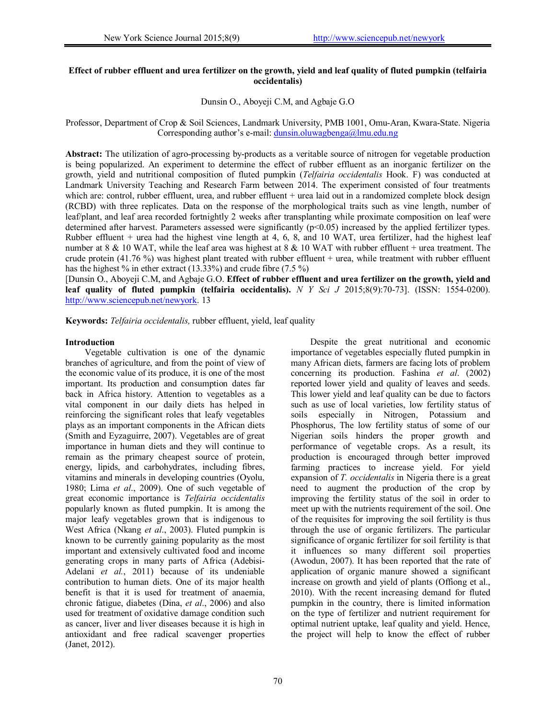# **Effect of rubber effluent and urea fertilizer on the growth, yield and leaf quality of fluted pumpkin (telfairia occidentalis)**

### Dunsin O., Aboyeji C.M, and Agbaje G.O

# Professor, Department of Crop & Soil Sciences, Landmark University, PMB 1001, Omu-Aran, Kwara-State. Nigeria Corresponding author's e-mail: dunsin.oluwagbenga@lmu.edu.ng

**Abstract:** The utilization of agro-processing by-products as a veritable source of nitrogen for vegetable production is being popularized. An experiment to determine the effect of rubber effluent as an inorganic fertilizer on the growth, yield and nutritional composition of fluted pumpkin (*Telfairia occidentalis* Hook. F) was conducted at Landmark University Teaching and Research Farm between 2014. The experiment consisted of four treatments which are: control, rubber effluent, urea, and rubber effluent + urea laid out in a randomized complete block design (RCBD) with three replicates. Data on the response of the morphological traits such as vine length, number of leaf/plant, and leaf area recorded fortnightly 2 weeks after transplanting while proximate composition on leaf were determined after harvest. Parameters assessed were significantly  $(p<0.05)$  increased by the applied fertilizer types. Rubber effluent + urea had the highest vine length at 4, 6, 8, and 10 WAT, urea fertilizer, had the highest leaf number at 8 & 10 WAT, while the leaf area was highest at 8 & 10 WAT with rubber effluent + urea treatment. The crude protein (41.76 %) was highest plant treated with rubber effluent + urea, while treatment with rubber effluent has the highest % in ether extract (13.33%) and crude fibre (7.5 %)

[Dunsin O., Aboyeji C.M, and Agbaje G.O. **Effect of rubber effluent and urea fertilizer on the growth, yield and leaf quality of fluted pumpkin (telfairia occidentalis).** *N Y Sci J* 2015;8(9):70-73]. (ISSN: 1554-0200). http://www.sciencepub.net/newyork. 13

**Keywords:** *Telfairia occidentalis,* rubber effluent, yield, leaf quality

#### **Introduction**

Vegetable cultivation is one of the dynamic branches of agriculture, and from the point of view of the economic value of its produce, it is one of the most important. Its production and consumption dates far back in Africa history. Attention to vegetables as a vital component in our daily diets has helped in reinforcing the significant roles that leafy vegetables plays as an important components in the African diets (Smith and Eyzaguirre, 2007). Vegetables are of great importance in human diets and they will continue to remain as the primary cheapest source of protein, energy, lipids, and carbohydrates, including fibres, vitamins and minerals in developing countries (Oyolu, 1980; Lima *et al*., 2009). One of such vegetable of great economic importance is *Telfairia occidentalis* popularly known as fluted pumpkin. It is among the major leafy vegetables grown that is indigenous to West Africa (Nkang *et al*., 2003). Fluted pumpkin is known to be currently gaining popularity as the most important and extensively cultivated food and income generating crops in many parts of Africa (Adebisi-Adelani *et al.*, 2011) because of its undeniable contribution to human diets. One of its major health benefit is that it is used for treatment of anaemia, chronic fatigue, diabetes (Dina, *et al*., 2006) and also used for treatment of oxidative damage condition such as cancer, liver and liver diseases because it is high in antioxidant and free radical scavenger properties (Janet, 2012).

Despite the great nutritional and economic importance of vegetables especially fluted pumpkin in many African diets, farmers are facing lots of problem concerning its production. Fashina *et al*. (2002) reported lower yield and quality of leaves and seeds. This lower yield and leaf quality can be due to factors such as use of local varieties, low fertility status of soils especially in Nitrogen, Potassium and Phosphorus, The low fertility status of some of our Nigerian soils hinders the proper growth and performance of vegetable crops. As a result, its production is encouraged through better improved farming practices to increase yield. For yield expansion of *T. occidentalis* in Nigeria there is a great need to augment the production of the crop by improving the fertility status of the soil in order to meet up with the nutrients requirement of the soil. One of the requisites for improving the soil fertility is thus through the use of organic fertilizers. The particular significance of organic fertilizer for soil fertility is that it influences so many different soil properties (Awodun, 2007). It has been reported that the rate of application of organic manure showed a significant increase on growth and yield of plants (Offiong et al., 2010). With the recent increasing demand for fluted pumpkin in the country, there is limited information on the type of fertilizer and nutrient requirement for optimal nutrient uptake, leaf quality and yield. Hence, the project will help to know the effect of rubber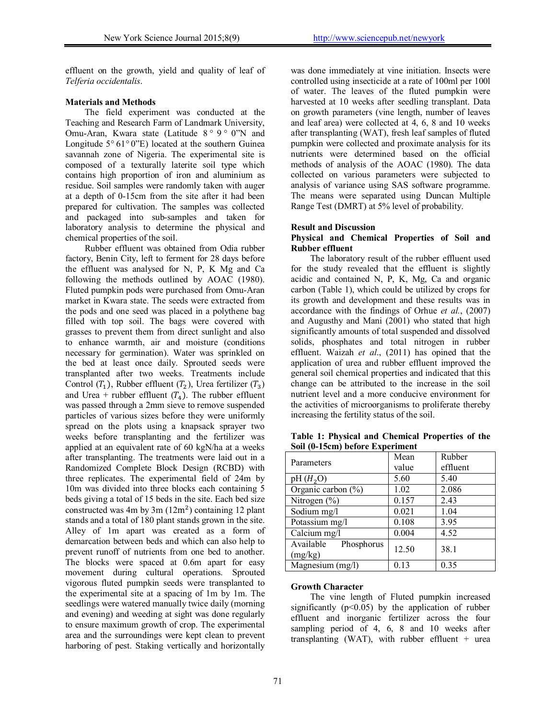effluent on the growth, yield and quality of leaf of *Telferia occidentalis*.

### **Materials and Methods**

The field experiment was conducted at the Teaching and Research Farm of Landmark University, Omu-Aran, Kwara state (Latitude 8 *°* 9 *°* 0"N and Longitude 5*°* 61*°* 0"E) located at the southern Guinea savannah zone of Nigeria. The experimental site is composed of a texturally laterite soil type which contains high proportion of iron and aluminium as residue. Soil samples were randomly taken with auger at a depth of 0-15cm from the site after it had been prepared for cultivation. The samples was collected and packaged into sub-samples and taken for laboratory analysis to determine the physical and chemical properties of the soil.

Rubber effluent was obtained from Odia rubber factory, Benin City, left to ferment for 28 days before the effluent was analysed for N, P, K Mg and Ca following the methods outlined by AOAC (1980). Fluted pumpkin pods were purchased from Omu-Aran market in Kwara state. The seeds were extracted from the pods and one seed was placed in a polythene bag filled with top soil. The bags were covered with grasses to prevent them from direct sunlight and also to enhance warmth, air and moisture (conditions necessary for germination). Water was sprinkled on the bed at least once daily. Sprouted seeds were transplanted after two weeks. Treatments include Control  $(T_1)$ , Rubber effluent  $(T_2)$ , Urea fertilizer  $(T_3)$ and Urea + rubber effluent  $(T_4)$ . The rubber effluent was passed through a 2mm sieve to remove suspended particles of various sizes before they were uniformly spread on the plots using a knapsack sprayer two weeks before transplanting and the fertilizer was applied at an equivalent rate of 60 kgN/ha at a weeks after transplanting. The treatments were laid out in a Randomized Complete Block Design (RCBD) with three replicates. The experimental field of 24m by 10m was divided into three blocks each containing 5 beds giving a total of 15 beds in the site. Each bed size constructed was 4m by 3m  $(12m^2)$  containing 12 plant stands and a total of 180 plant stands grown in the site. Alley of 1m apart was created as a form of demarcation between beds and which can also help to prevent runoff of nutrients from one bed to another. The blocks were spaced at 0.6m apart for easy movement during cultural operations. Sprouted vigorous fluted pumpkin seeds were transplanted to the experimental site at a spacing of 1m by 1m. The seedlings were watered manually twice daily (morning and evening) and weeding at sight was done regularly to ensure maximum growth of crop. The experimental area and the surroundings were kept clean to prevent harboring of pest. Staking vertically and horizontally

was done immediately at vine initiation. Insects were controlled using insecticide at a rate of 100ml per 100l of water. The leaves of the fluted pumpkin were harvested at 10 weeks after seedling transplant. Data on growth parameters (vine length, number of leaves and leaf area) were collected at 4, 6, 8 and 10 weeks after transplanting (WAT), fresh leaf samples of fluted pumpkin were collected and proximate analysis for its nutrients were determined based on the official methods of analysis of the AOAC (1980). The data collected on various parameters were subjected to analysis of variance using SAS software programme. The means were separated using Duncan Multiple Range Test (DMRT) at 5% level of probability.

# **Result and Discussion**

### **Physical and Chemical Properties of Soil and Rubber effluent**

The laboratory result of the rubber effluent used for the study revealed that the effluent is slightly acidic and contained N, P, K, Mg, Ca and organic carbon (Table 1), which could be utilized by crops for its growth and development and these results was in accordance with the findings of Orhue *et al.*, (2007) and Augusthy and Mani (2001) who stated that high significantly amounts of total suspended and dissolved solids, phosphates and total nitrogen in rubber effluent. Waizah *et al*., (2011) has opined that the application of urea and rubber effluent improved the general soil chemical properties and indicated that this change can be attributed to the increase in the soil nutrient level and a more conducive environment for the activities of microorganisms to proliferate thereby increasing the fertility status of the soil.

| Parameters                       | Mean  | Rubber   |  |  |
|----------------------------------|-------|----------|--|--|
|                                  | value | effluent |  |  |
| pH(H <sub>2</sub> O)             | 5.60  | 5.40     |  |  |
| Organic carbon $(\% )$           | 1.02  | 2.086    |  |  |
| Nitrogen $(\% )$                 | 0.157 | 2.43     |  |  |
| Sodium mg/l                      | 0.021 | 1.04     |  |  |
| Potassium mg/l                   | 0.108 | 3.95     |  |  |
| $\overline{\text{Calcium}}$ mg/l | 0.004 | 4.52     |  |  |
| Available<br>Phosphorus          | 12.50 | 38.1     |  |  |
| (mg/kg)                          |       |          |  |  |
| Magnesium (mg/l)                 | 0.13  | 0.35     |  |  |

**Table 1: Physical and Chemical Properties of the Soil (0-15cm) before Experiment**

#### **Growth Character**

The vine length of Fluted pumpkin increased significantly  $(p<0.05)$  by the application of rubber effluent and inorganic fertilizer across the four sampling period of 4, 6, 8 and 10 weeks after transplanting (WAT), with rubber effluent + urea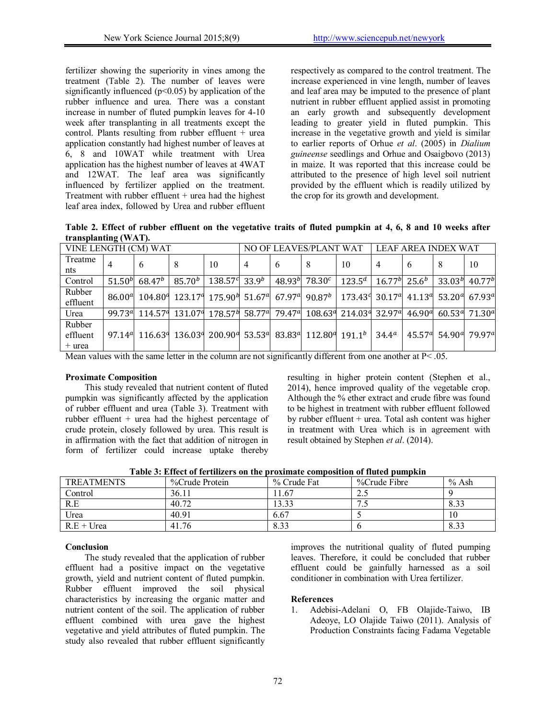fertilizer showing the superiority in vines among the treatment (Table 2). The number of leaves were significantly influenced  $(p<0.05)$  by application of the rubber influence and urea. There was a constant increase in number of fluted pumpkin leaves for 4-10 week after transplanting in all treatments except the control. Plants resulting from rubber effluent  $+$  urea application constantly had highest number of leaves at 6, 8 and 10WAT while treatment with Urea application has the highest number of leaves at 4WAT and 12WAT. The leaf area was significantly influenced by fertilizer applied on the treatment. Treatment with rubber effluent  $+$  urea had the highest leaf area index, followed by Urea and rubber effluent respectively as compared to the control treatment. The increase experienced in vine length, number of leaves and leaf area may be imputed to the presence of plant nutrient in rubber effluent applied assist in promoting an early growth and subsequently development leading to greater yield in fluted pumpkin. This increase in the vegetative growth and yield is similar to earlier reports of Orhue *et al*. (2005) in *Dialium guineense* seedlings and Orhue and Osaigbovo (2013) in maize. It was reported that this increase could be attributed to the presence of high level soil nutrient provided by the effluent which is readily utilized by the crop for its growth and development.

**Table 2. Effect of rubber effluent on the vegetative traits of fluted pumpkin at 4, 6, 8 and 10 weeks after transplanting (WAT).**

| VINE LENGTH (CM) WAT           |                                 |                     | NO OF LEAVES/PLANT WAT |         |                   | LEAF AREA INDEX WAT |                                                                                        |                                                                                                   |                |                    |                                                          |                     |
|--------------------------------|---------------------------------|---------------------|------------------------|---------|-------------------|---------------------|----------------------------------------------------------------------------------------|---------------------------------------------------------------------------------------------------|----------------|--------------------|----------------------------------------------------------|---------------------|
| Treatme<br>nts                 |                                 | $\mathfrak b$       | 8                      | 10      | $\overline{4}$    | 6                   | 8                                                                                      | 10                                                                                                | 4              | 6                  |                                                          | 10                  |
| Control                        | 51.50 <sup>b</sup>              | $68.47^b$           | $85.70^{b}$            | 138.579 | 33.9 <sup>b</sup> | 48.93 <sup>b</sup>  | 78.30 <sup>c</sup>                                                                     | $123.5^d$                                                                                         | $16.77^{b}$    | $25.6^{b}$         | 33.03 <sup>b</sup>                                       | $40.77^{b}$         |
| Rubber<br>effluent             | 86.00 <sup>d</sup>              | $104.80^{q}$        | 123.17 <sup>4</sup>    |         |                   |                     | $175.90^{h}$ 51.67 <sup>a</sup> 67.97 <sup>a</sup> 90.87 <sup>b</sup>                  | $173.43$ <sup>d</sup> 30.17 <sup>d</sup> 41.13 <sup>d</sup> 53.20 <sup>d</sup> 67.93 <sup>d</sup> |                |                    |                                                          |                     |
| Urea                           | 99.73 <sup>a</sup>              | 114.57 <sup>°</sup> | 131.07 <sup>q</sup>    |         |                   |                     |                                                                                        | 178.574 58.774 79.474 108.634 214.034 32.974                                                      |                | 46.90 <sup>a</sup> |                                                          | 60.53 $a$ 71.30 $a$ |
| Rubber<br>effluent<br>$+$ urea | 97.14 <sup><math>a</math></sup> | 116.63 <sup>a</sup> | 136.039                |         |                   |                     | $200.909$ 53.53 <sup>d</sup> 83.83 <sup>d</sup> 112.80 <sup>d</sup> 191.1 <sup>b</sup> |                                                                                                   | $34.4^{\circ}$ |                    | 45.57 <sup>d</sup> 54.90 <sup>d</sup> 79.97 <sup>d</sup> |                     |

Mean values with the same letter in the column are not significantly different from one another at  $P < .05$ .

# **Proximate Composition**

This study revealed that nutrient content of fluted pumpkin was significantly affected by the application of rubber effluent and urea (Table 3). Treatment with rubber effluent + urea had the highest percentage of crude protein, closely followed by urea. This result is in affirmation with the fact that addition of nitrogen in form of fertilizer could increase uptake thereby resulting in higher protein content (Stephen et al., 2014), hence improved quality of the vegetable crop. Although the % ether extract and crude fibre was found to be highest in treatment with rubber effluent followed by rubber effluent + urea. Total ash content was higher in treatment with Urea which is in agreement with result obtained by Stephen *et al*. (2014).

**Table 3: Effect of fertilizers on the proximate composition of fluted pumpkin**

| <b>TREATMENTS</b> | %Crude Protein | % Crude Fat | %Crude Fibre | % Ash |
|-------------------|----------------|-------------|--------------|-------|
| Control           | 36.11          | 1.67        | ر. پ         |       |
| R.E               | 40.72          | 13.33       |              | 8.33  |
| Urea              | 40.91          | 6.67        |              | 10    |
| $R.E + Urea$      | 41.76          | 8.33        |              | 8.33  |

#### **Conclusion**

The study revealed that the application of rubber effluent had a positive impact on the vegetative growth, yield and nutrient content of fluted pumpkin. Rubber effluent improved the soil physical characteristics by increasing the organic matter and nutrient content of the soil. The application of rubber effluent combined with urea gave the highest vegetative and yield attributes of fluted pumpkin. The study also revealed that rubber effluent significantly

improves the nutritional quality of fluted pumping leaves. Therefore, it could be concluded that rubber effluent could be gainfully harnessed as a soil conditioner in combination with Urea fertilizer.

# **References**

1. Adebisi-Adelani O, FB Olajide-Taiwo, IB Adeoye, LO Olajide Taiwo (2011). Analysis of Production Constraints facing Fadama Vegetable